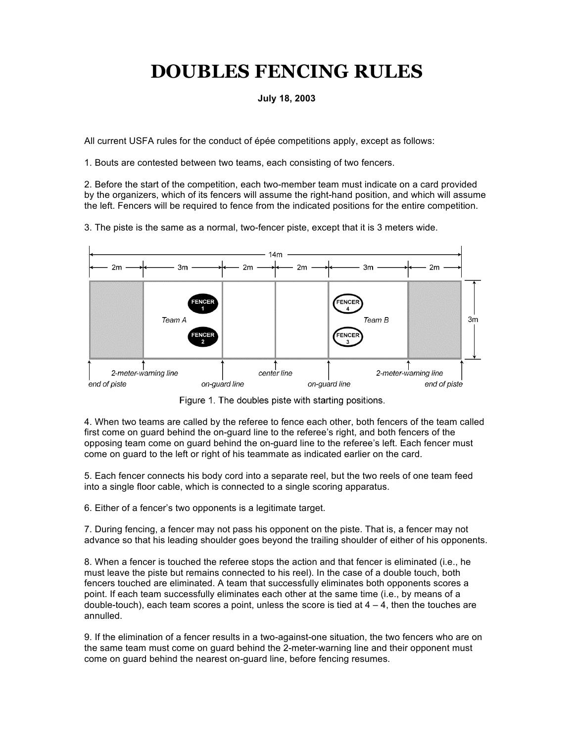## **DOUBLES FENCING RULES**

## **July 18, 2003**

All current USFA rules for the conduct of épée competitions apply, except as follows:

1. Bouts are contested between two teams, each consisting of two fencers.

2. Before the start of the competition, each two-member team must indicate on a card provided by the organizers, which of its fencers will assume the right-hand position, and which will assume the left. Fencers will be required to fence from the indicated positions for the entire competition.

3. The piste is the same as a normal, two-fencer piste, except that it is 3 meters wide.



Figure 1. The doubles piste with starting positions.

4. When two teams are called by the referee to fence each other, both fencers of the team called first come on guard behind the on-guard line to the referee's right, and both fencers of the opposing team come on guard behind the on-guard line to the referee's left. Each fencer must come on guard to the left or right of his teammate as indicated earlier on the card.

5. Each fencer connects his body cord into a separate reel, but the two reels of one team feed into a single floor cable, which is connected to a single scoring apparatus.

6. Either of a fencer's two opponents is a legitimate target.

7. During fencing, a fencer may not pass his opponent on the piste. That is, a fencer may not advance so that his leading shoulder goes beyond the trailing shoulder of either of his opponents.

8. When a fencer is touched the referee stops the action and that fencer is eliminated (i.e., he must leave the piste but remains connected to his reel). In the case of a double touch, both fencers touched are eliminated. A team that successfully eliminates both opponents scores a point. If each team successfully eliminates each other at the same time (i.e., by means of a double-touch), each team scores a point, unless the score is tied at  $4 - 4$ , then the touches are annulled.

9. If the elimination of a fencer results in a two-against-one situation, the two fencers who are on the same team must come on guard behind the 2-meter-warning line and their opponent must come on guard behind the nearest on-guard line, before fencing resumes.